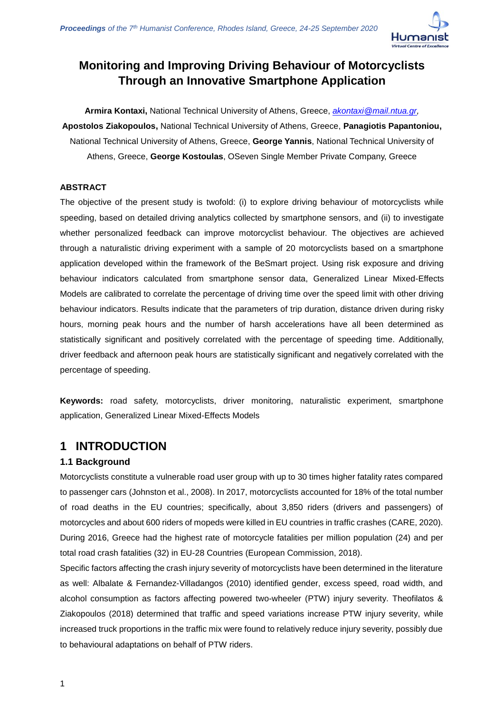

**Armira Kontaxi,** National Technical University of Athens, Greece, *[akontaxi@mail.ntua.gr,](mailto:akontaxi@mail.ntua.gr)*  **Apostolos Ziakopoulos,** National Technical University of Athens, Greece, **Panagiotis Papantoniou,**  National Technical University of Athens, Greece, **George Yannis**, National Technical University of Athens, Greece, **George Kostoulas**, OSeven Single Member Private Company, Greece

### **ABSTRACT**

The objective of the present study is twofold: (i) to explore driving behaviour of motorcyclists while speeding, based on detailed driving analytics collected by smartphone sensors, and (ii) to investigate whether personalized feedback can improve motorcyclist behaviour. The objectives are achieved through a naturalistic driving experiment with a sample of 20 motorcyclists based on a smartphone application developed within the framework of the BeSmart project. Using risk exposure and driving behaviour indicators calculated from smartphone sensor data, Generalized Linear Mixed-Effects Models are calibrated to correlate the percentage of driving time over the speed limit with other driving behaviour indicators. Results indicate that the parameters of trip duration, distance driven during risky hours, morning peak hours and the number of harsh accelerations have all been determined as statistically significant and positively correlated with the percentage of speeding time. Additionally, driver feedback and afternoon peak hours are statistically significant and negatively correlated with the percentage of speeding.

**Keywords:** road safety, motorcyclists, driver monitoring, naturalistic experiment, smartphone application, Generalized Linear Mixed-Effects Models

# **1 INTRODUCTION**

### **1.1 Background**

Motorcyclists constitute a vulnerable road user group with up to 30 times higher fatality rates compared to passenger cars (Johnston et al., 2008). In 2017, motorcyclists accounted for 18% of the total number of road deaths in the EU countries; specifically, about 3,850 riders (drivers and passengers) of motorcycles and about 600 riders of mopeds were killed in EU countries in traffic crashes (CARE, 2020). During 2016, Greece had the highest rate of motorcycle fatalities per million population (24) and per total road crash fatalities (32) in EU-28 Countries (European Commission, 2018).

Specific factors affecting the crash injury severity of motorcyclists have been determined in the literature as well: Albalate & Fernandez-Villadangos (2010) identified gender, excess speed, road width, and alcohol consumption as factors affecting powered two-wheeler (PTW) injury severity. Theofilatos & Ziakopoulos (2018) determined that traffic and speed variations increase PTW injury severity, while increased truck proportions in the traffic mix were found to relatively reduce injury severity, possibly due to behavioural adaptations on behalf of PTW riders.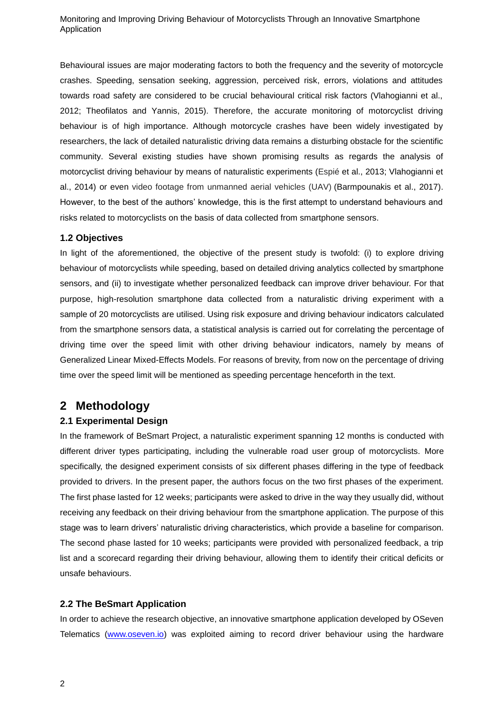Behavioural issues are major moderating factors to both the frequency and the severity of motorcycle crashes. Speeding, sensation seeking, aggression, perceived risk, errors, violations and attitudes towards road safety are considered to be crucial behavioural critical risk factors (Vlahogianni et al., 2012; Theofilatos and Yannis, 2015). Therefore, the accurate monitoring of motorcyclist driving behaviour is of high importance. Although motorcycle crashes have been widely investigated by researchers, the lack of detailed naturalistic driving data remains a disturbing obstacle for the scientific community. Several existing studies have shown promising results as regards the analysis of motorcyclist driving behaviour by means of naturalistic experiments (Espié et al., 2013; Vlahogianni et al., 2014) or even video footage from unmanned aerial vehicles (UAV) (Barmpounakis et al., 2017). However, to the best of the authors' knowledge, this is the first attempt to understand behaviours and risks related to motorcyclists on the basis of data collected from smartphone sensors.

#### **1.2 Objectives**

In light of the aforementioned, the objective of the present study is twofold: (i) to explore driving behaviour of motorcyclists while speeding, based on detailed driving analytics collected by smartphone sensors, and (ii) to investigate whether personalized feedback can improve driver behaviour. For that purpose, high-resolution smartphone data collected from a naturalistic driving experiment with a sample of 20 motorcyclists are utilised. Using risk exposure and driving behaviour indicators calculated from the smartphone sensors data, a statistical analysis is carried out for correlating the percentage of driving time over the speed limit with other driving behaviour indicators, namely by means of Generalized Linear Mixed-Effects Models. For reasons of brevity, from now on the percentage of driving time over the speed limit will be mentioned as speeding percentage henceforth in the text.

# **2 Methodology**

### **2.1 Experimental Design**

In the framework of BeSmart Project, a naturalistic experiment spanning 12 months is conducted with different driver types participating, including the vulnerable road user group of motorcyclists. More specifically, the designed experiment consists of six different phases differing in the type of feedback provided to drivers. In the present paper, the authors focus on the two first phases of the experiment. The first phase lasted for 12 weeks; participants were asked to drive in the way they usually did, without receiving any feedback on their driving behaviour from the smartphone application. The purpose of this stage was to learn drivers' naturalistic driving characteristics, which provide a baseline for comparison. The second phase lasted for 10 weeks; participants were provided with personalized feedback, a trip list and a scorecard regarding their driving behaviour, allowing them to identify their critical deficits or unsafe behaviours.

#### **2.2 The BeSmart Application**

In order to achieve the research objective, an innovative smartphone application developed by OSeven Telematics [\(www.oseven.io\)](www.oseven.io) was exploited aiming to record driver behaviour using the hardware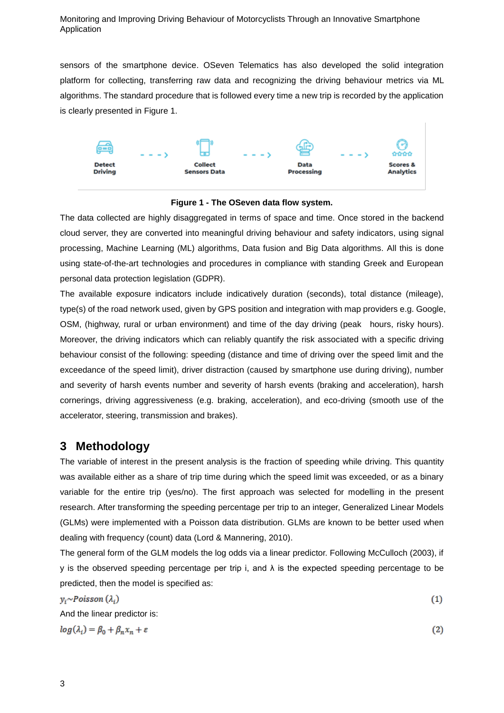sensors of the smartphone device. OSeven Telematics has also developed the solid integration platform for collecting, transferring raw data and recognizing the driving behaviour metrics via ML algorithms. The standard procedure that is followed every time a new trip is recorded by the application is clearly presented in Figure 1.



### **Figure 1 - The OSeven data flow system.**

The data collected are highly disaggregated in terms of space and time. Once stored in the backend cloud server, they are converted into meaningful driving behaviour and safety indicators, using signal processing, Machine Learning (ML) algorithms, Data fusion and Big Data algorithms. All this is done using state-of-the-art technologies and procedures in compliance with standing Greek and European personal data protection legislation (GDPR).

The available exposure indicators include indicatively duration (seconds), total distance (mileage), type(s) of the road network used, given by GPS position and integration with map providers e.g. Google, OSM, (highway, rural or urban environment) and time of the day driving (peak hours, risky hours). Moreover, the driving indicators which can reliably quantify the risk associated with a specific driving behaviour consist of the following: speeding (distance and time of driving over the speed limit and the exceedance of the speed limit), driver distraction (caused by smartphone use during driving), number and severity of harsh events number and severity of harsh events (braking and acceleration), harsh cornerings, driving aggressiveness (e.g. braking, acceleration), and eco-driving (smooth use of the accelerator, steering, transmission and brakes).

## **3 Methodology**

The variable of interest in the present analysis is the fraction of speeding while driving. This quantity was available either as a share of trip time during which the speed limit was exceeded, or as a binary variable for the entire trip (yes/no). The first approach was selected for modelling in the present research. After transforming the speeding percentage per trip to an integer, Generalized Linear Models (GLMs) were implemented with a Poisson data distribution. GLMs are known to be better used when dealing with frequency (count) data (Lord & Mannering, 2010).

The general form of the GLM models the log odds via a linear predictor. Following McCulloch (2003), if y is the observed speeding percentage per trip i, and  $\lambda$  is the expected speeding percentage to be predicted, then the model is specified as:

 $v_i \sim Poisson(\lambda_i)$ And the linear predictor is: $\log(\lambda_i) = \beta_0 + \beta_n x_n + \varepsilon$ 

 $(2)$ 

 $(1)$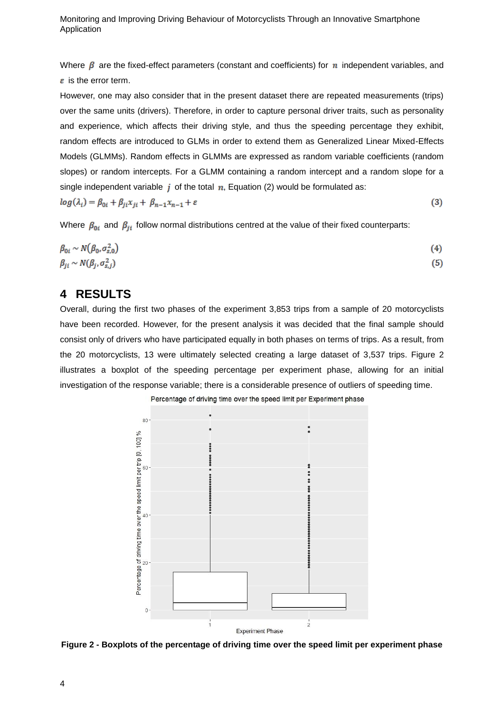Where  $\beta$  are the fixed-effect parameters (constant and coefficients) for n independent variables, and  $\varepsilon$  is the error term.

However, one may also consider that in the present dataset there are repeated measurements (trips) over the same units (drivers). Therefore, in order to capture personal driver traits, such as personality and experience, which affects their driving style, and thus the speeding percentage they exhibit, random effects are introduced to GLMs in order to extend them as Generalized Linear Mixed-Effects Models (GLMMs). Random effects in GLMMs are expressed as random variable coefficients (random slopes) or random intercepts. For a GLMM containing a random intercept and a random slope for a single independent variable  $\dot{i}$  of the total  $\dot{n}$ , Equation (2) would be formulated as:

$$
log(\lambda_i) = \beta_{0i} + \beta_{ji} x_{ji} + \beta_{n-1} x_{n-1} + \varepsilon
$$
\n(3)

Where  $\beta_{0i}$  and  $\beta_{ji}$  follow normal distributions centred at the value of their fixed counterparts:

$$
\beta_{0i} \sim N(\beta_0, \sigma_{s,0}^2) \n\beta_{ji} \sim N(\beta_j, \sigma_{s,j}^2)
$$
\n(4)

## **4 RESULTS**

Overall, during the first two phases of the experiment 3,853 trips from a sample of 20 motorcyclists have been recorded. However, for the present analysis it was decided that the final sample should consist only of drivers who have participated equally in both phases on terms of trips. As a result, from the 20 motorcyclists, 13 were ultimately selected creating a large dataset of 3,537 trips. Figure 2 illustrates a boxplot of the speeding percentage per experiment phase, allowing for an initial investigation of the response variable; there is a considerable presence of outliers of speeding time.

Percentage of driving time over the speed limit per Experiment phase



**Figure 2 - Boxplots of the percentage of driving time over the speed limit per experiment phase**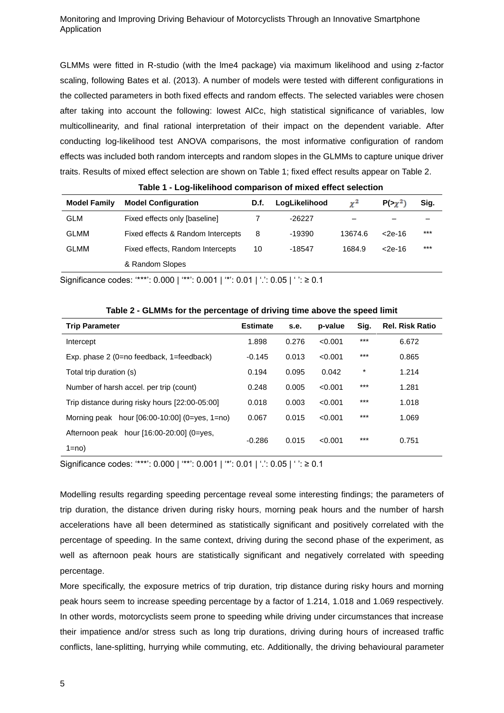GLMMs were fitted in R-studio (with the lme4 package) via maximum likelihood and using z-factor scaling, following Bates et al. (2013). A number of models were tested with different configurations in the collected parameters in both fixed effects and random effects. The selected variables were chosen after taking into account the following: lowest AICc, high statistical significance of variables, low multicollinearity, and final rational interpretation of their impact on the dependent variable. After conducting log-likelihood test ANOVA comparisons, the most informative configuration of random effects was included both random intercepts and random slopes in the GLMMs to capture unique driver traits. Results of mixed effect selection are shown on Table 1; fixed effect results appear on Table 2.

| <b>Model Family</b> | <b>Model Configuration</b>        | D.f. | LogLikelihood | $\mathbf{v}^2$ | $P(\gamma^2)$ | Sig.  |
|---------------------|-----------------------------------|------|---------------|----------------|---------------|-------|
| <b>GLM</b>          | Fixed effects only [baseline]     |      | $-26227$      | -              |               |       |
| <b>GLMM</b>         | Fixed effects & Random Intercepts | 8    | -19390        | 13674.6        | <2e-16        | $***$ |
| <b>GLMM</b>         | Fixed effects, Random Intercepts  | 10   | -18547        | 1684.9         | $<$ 2e-16     | $***$ |
|                     | & Random Slopes                   |      |               |                |               |       |

**Table 1 - Log-likelihood comparison of mixed effect selection** 

Significance codes: '\*\*\*': 0.000 | '\*\*': 0.001 | '\*': 0.01 | '.': 0.05 | ' ': ≥ 0.1

| -- 9-<br>                                         |                 |       |         |         |                        |  |  |  |  |  |
|---------------------------------------------------|-----------------|-------|---------|---------|------------------------|--|--|--|--|--|
| <b>Trip Parameter</b>                             | <b>Estimate</b> | s.e.  | p-value | Sig.    | <b>Rel. Risk Ratio</b> |  |  |  |  |  |
| Intercept                                         | 1.898           | 0.276 | < 0.001 | $***$   | 6.672                  |  |  |  |  |  |
| Exp. phase $2$ (0=no feedback, 1=feedback)        | $-0.145$        | 0.013 | < 0.001 | $***$   | 0.865                  |  |  |  |  |  |
| Total trip duration (s)                           | 0.194           | 0.095 | 0.042   | $\star$ | 1.214                  |  |  |  |  |  |
| Number of harsh accel. per trip (count)           | 0.248           | 0.005 | < 0.001 | $***$   | 1.281                  |  |  |  |  |  |
| Trip distance during risky hours [22:00-05:00]    | 0.018           | 0.003 | < 0.001 | $***$   | 1.018                  |  |  |  |  |  |
| Morning peak hour $[06:00-10:00]$ $(0=ves, 1=no)$ | 0.067           | 0.015 | < 0.001 | $***$   | 1.069                  |  |  |  |  |  |
| Afternoon peak hour [16:00-20:00] (0=yes,         | $-0.286$        | 0.015 | < 0.001 | $***$   |                        |  |  |  |  |  |
| $1=no$                                            |                 |       |         |         | 0.751                  |  |  |  |  |  |

**Table 2 - GLMMs for the percentage of driving time above the speed limit** 

Significance codes: '\*\*\*': 0.000 | '\*\*': 0.001 | '\*': 0.01 | '.': 0.05 | ' ': ≥ 0.1

Modelling results regarding speeding percentage reveal some interesting findings; the parameters of trip duration, the distance driven during risky hours, morning peak hours and the number of harsh accelerations have all been determined as statistically significant and positively correlated with the percentage of speeding. In the same context, driving during the second phase of the experiment, as well as afternoon peak hours are statistically significant and negatively correlated with speeding percentage.

More specifically, the exposure metrics of trip duration, trip distance during risky hours and morning peak hours seem to increase speeding percentage by a factor of 1.214, 1.018 and 1.069 respectively. In other words, motorcyclists seem prone to speeding while driving under circumstances that increase their impatience and/or stress such as long trip durations, driving during hours of increased traffic conflicts, lane-splitting, hurrying while commuting, etc. Additionally, the driving behavioural parameter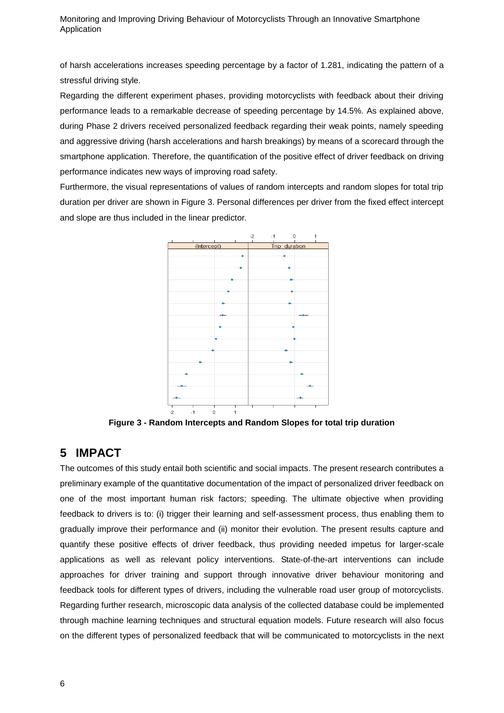of harsh accelerations increases speeding percentage by a factor of 1.281, indicating the pattern of a stressful driving style.

Regarding the different experiment phases, providing motorcyclists with feedback about their driving performance leads to a remarkable decrease of speeding percentage by 14.5%. As explained above, during Phase 2 drivers received personalized feedback regarding their weak points, namely speeding and aggressive driving (harsh accelerations and harsh breakings) by means of a scorecard through the smartphone application. Therefore, the quantification of the positive effect of driver feedback on driving performance indicates new ways of improving road safety.

Furthermore, the visual representations of values of random intercepts and random slopes for total trip duration per driver are shown in Figure 3. Personal differences per driver from the fixed effect intercept and slope are thus included in the linear predictor.



**Figure 3 - Random Intercepts and Random Slopes for total trip duration**

# **5 IMPACT**

The outcomes of this study entail both scientific and social impacts. The present research contributes a preliminary example of the quantitative documentation of the impact of personalized driver feedback on one of the most important human risk factors; speeding. The ultimate objective when providing feedback to drivers is to: (i) trigger their learning and self-assessment process, thus enabling them to gradually improve their performance and (ii) monitor their evolution. The present results capture and quantify these positive effects of driver feedback, thus providing needed impetus for larger-scale applications as well as relevant policy interventions. State-of-the-art interventions can include approaches for driver training and support through innovative driver behaviour monitoring and feedback tools for different types of drivers, including the vulnerable road user group of motorcyclists. Regarding further research, microscopic data analysis of the collected database could be implemented through machine learning techniques and structural equation models. Future research will also focus on the different types of personalized feedback that will be communicated to motorcyclists in the next